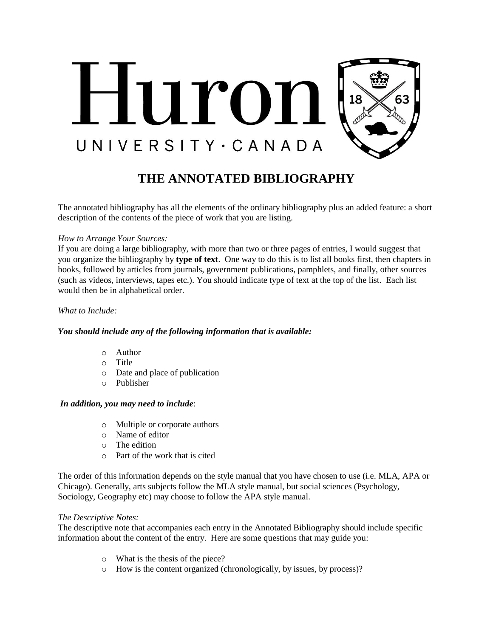

# **THE ANNOTATED BIBLIOGRAPHY**

The annotated bibliography has all the elements of the ordinary bibliography plus an added feature: a short description of the contents of the piece of work that you are listing.

### *How to Arrange Your Sources:*

If you are doing a large bibliography, with more than two or three pages of entries, I would suggest that you organize the bibliography by **type of text**. One way to do this is to list all books first, then chapters in books, followed by articles from journals, government publications, pamphlets, and finally, other sources (such as videos, interviews, tapes etc.). You should indicate type of text at the top of the list. Each list would then be in alphabetical order.

#### *What to Include:*

# *You should include any of the following information that is available:*

- o Author
- o Title
- o Date and place of publication
- o Publisher

#### *In addition, you may need to include*:

- o Multiple or corporate authors
- o Name of editor
- o The edition
- o Part of the work that is cited

The order of this information depends on the style manual that you have chosen to use (i.e. MLA, APA or Chicago). Generally, arts subjects follow the MLA style manual, but social sciences (Psychology, Sociology, Geography etc) may choose to follow the APA style manual.

# *The Descriptive Notes:*

The descriptive note that accompanies each entry in the Annotated Bibliography should include specific information about the content of the entry. Here are some questions that may guide you:

- o What is the thesis of the piece?
- o How is the content organized (chronologically, by issues, by process)?